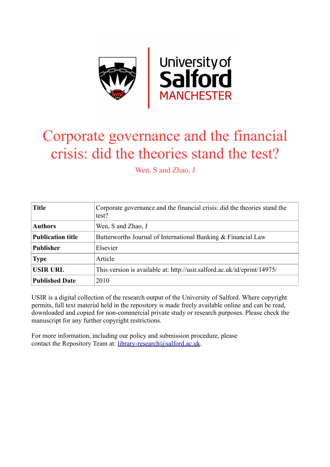

# Corporate governance and the financial crisis: did the theories stand the test?

Wen, S and Zhao, J

| <b>Title</b>             | Corporate governance and the financial crisis: did the theories stand the<br>test? |
|--------------------------|------------------------------------------------------------------------------------|
| <b>Authors</b>           | Wen, S and Zhao, J                                                                 |
| <b>Publication title</b> | Butterworths Journal of International Banking & Financial Law                      |
| <b>Publisher</b>         | Elsevier                                                                           |
| <b>Type</b>              | Article                                                                            |
| <b>USIR URL</b>          | This version is available at: http://usir.salford.ac.uk/id/eprint/14975/           |
| <b>Published Date</b>    | 2010                                                                               |

USIR is a digital collection of the research output of the University of Salford. Where copyright permits, full text material held in the repository is made freely available online and can be read, downloaded and copied for non-commercial private study or research purposes. Please check the manuscript for any further copyright restrictions.

For more information, including our policy and submission procedure, please contact the Repository Team at: [library-research@salford.ac.uk.](mailto:library-research@salford.ac.uk)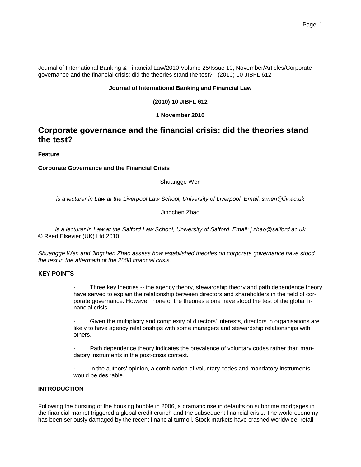Journal of International Banking & Financial Law/2010 Volume 25/Issue 10, November/Articles/Corporate governance and the financial crisis: did the theories stand the test? - (2010) 10 JIBFL 612

#### **Journal of International Banking and Financial Law**

#### **(2010) 10 JIBFL 612**

#### **1 November 2010**

## **Corporate governance and the financial crisis: did the theories stand the test?**

**Feature**

#### **Corporate Governance and the Financial Crisis**

Shuangge Wen

*is a lecturer in Law at the Liverpool Law School, University of Liverpool. Email: s.wen@liv.ac.uk*

#### Jingchen Zhao

*is a lecturer in Law at the Salford Law School, University of Salford. Email: j.zhao@salford.ac.uk* © Reed Elsevier (UK) Ltd 2010

*Shuangge Wen and Jingchen Zhao assess how established theories on corporate governance have stood the test in the aftermath of the 2008 financial crisis.*

#### **KEY POINTS**

Three key theories -- the agency theory, stewardship theory and path dependence theory have served to explain the relationship between directors and shareholders in the field of corporate governance. However, none of the theories alone have stood the test of the global financial crisis.

Given the multiplicity and complexity of directors' interests, directors in organisations are likely to have agency relationships with some managers and stewardship relationships with others.

Path dependence theory indicates the prevalence of voluntary codes rather than mandatory instruments in the post-crisis context.

 · In the authors' opinion, a combination of voluntary codes and mandatory instruments would be desirable.

### **INTRODUCTION**

Following the bursting of the housing bubble in 2006, a dramatic rise in defaults on subprime mortgages in the financial market triggered a global credit crunch and the subsequent financial crisis. The world economy has been seriously damaged by the recent financial turmoil. Stock markets have crashed worldwide; retail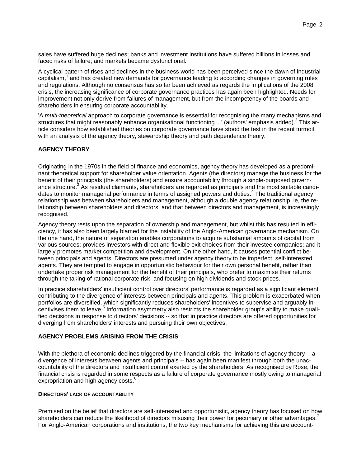sales have suffered huge declines; banks and investment institutions have suffered billions in losses and faced risks of failure; and markets became dysfunctional.

A cyclical pattern of rises and declines in the business world has been perceived since the dawn of industrial capitalism,<sup>1</sup> and has created new demands for governance leading to according changes in governing rules and regulations. Although no consensus has so far been achieved as regards the implications of the 2008 crisis, the increasing significance of corporate governance practices has again been highlighted. Needs for improvement not only derive from failures of management, but from the incompetency of the boards and shareholders in ensuring corporate accountability.

'A *multi-theoretical* approach to corporate governance is essential for recognising the many mechanisms and structures that might reasonably enhance organisational functioning ...' (authors' emphasis added).<sup>2</sup> This article considers how established theories on corporate governance have stood the test in the recent turmoil with an analysis of the agency theory, stewardship theory and path dependence theory.

#### **AGENCY THEORY**

Originating in the 1970s in the field of finance and economics, agency theory has developed as a predominant theoretical support for shareholder value orientation. Agents (the directors) manage the business for the benefit of their principals (the shareholders) and ensure accountability through a single-purposed governance structure.<sup>3</sup> As residual claimants, shareholders are regarded as principals and the most suitable candidates to monitor managerial performance in terms of assigned powers and duties.<sup>4</sup> The traditional agency relationship was between shareholders and management, although a double agency relationship, ie, the relationship between shareholders and directors, and that between directors and management, is increasingly recognised.

Agency theory rests upon the separation of ownership and management, but whilst this has resulted in efficiency, it has also been largely blamed for the instability of the Anglo-American governance mechanism. On the one hand, the nature of separation enables corporations to acquire substantial amounts of capital from various sources; provides investors with direct and flexible exit choices from their investee companies; and it largely promotes market competition and development. On the other hand, it causes potential conflict between principals and agents. Directors are presumed under agency theory to be imperfect, self-interested agents. They are tempted to engage in opportunistic behaviour for their own personal benefit, rather than undertake proper risk management for the benefit of their principals, who prefer to maximise their returns through the taking of rational corporate risk, and focusing on high dividends and stock prices.

In practice shareholders' insufficient control over directors' performance is regarded as a significant element contributing to the divergence of interests between principals and agents. This problem is exacerbated when portfolios are diversified, which significantly reduces shareholders' incentives to supervise and arguably incentivises them to leave.<sup>5</sup> Information asymmetry also restricts the shareholder group's ability to make qualified decisions in response to directors' decisions -- so that in practice directors are offered opportunities for diverging from shareholders' interests and pursuing their own objectives.

#### **AGENCY PROBLEMS ARISING FROM THE CRISIS**

With the plethora of economic declines triggered by the financial crisis, the limitations of agency theory -- a divergence of interests between agents and principals -- has again been manifest through both the unaccountability of the directors and insufficient control exerted by the shareholders. As recognised by Rose, the financial crisis is regarded in some respects as a failure of corporate governance mostly owing to managerial expropriation and high agency costs.<sup>6</sup>

#### **DIRECTORS' LACK OF ACCOUNTABILITY**

Premised on the belief that directors are self-interested and opportunistic, agency theory has focused on how shareholders can reduce the likelihood of directors misusing their power for pecuniary or other advantages.<sup>7</sup> For Anglo-American corporations and institutions, the two key mechanisms for achieving this are account-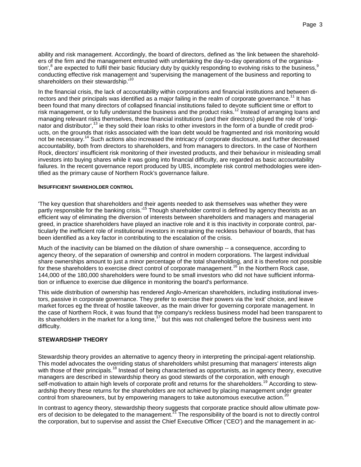ability and risk management. Accordingly, the board of directors, defined as 'the link between the shareholders of the firm and the management entrusted with undertaking the day-to-day operations of the organisation',<sup>8</sup> are expected to fulfil their basic fiduciary duty by quickly responding to evolving risks to the business,<sup>9</sup> conducting effective risk management and 'supervising the management of the business and reporting to shareholders on their stewardship.<sup>10</sup>

In the financial crisis, the lack of accountability within corporations and financial institutions and between directors and their principals was identified as a major failing in the realm of corporate governance.<sup>11</sup> It has been found that many directors of collapsed financial institutions failed to devote sufficient time or effort to risk management, or to fully understand the business and the product risks.<sup>12</sup> Instead of arranging loans and managing relevant risks themselves, these financial institutions (and their directors) played the role of 'originator and distributor',<sup>13</sup> ie they sold their loan risks to other investors in the form of a bundle of credit products, on the grounds that risks associated with the loan debt would be fragmented and risk monitoring would not be necessary.<sup>14</sup> Such actions also increased the intricacy of corporate disclosure, and further decreased accountability, both from directors to shareholders, and from managers to directors. In the case of Northern Rock, directors' insufficient risk monitoring of their invested products, and their behaviour in misleading small investors into buying shares while it was going into financial difficulty, are regarded as basic accountability failures. In the recent governance report produced by UBS, incomplete risk control methodologies were identified as the primary cause of Northern Rock's governance failure.

#### **INSUFFICIENT SHAREHOLDER CONTROL**

'The key question that shareholders and their agents needed to ask themselves was whether they were partly responsible for the banking crisis.<sup>15</sup> Though shareholder control is defined by agency theorists as an efficient way of eliminating the diversion of interests between shareholders and managers and managerial greed, in practice shareholders have played an inactive role and it is this inactivity in corporate control, particularly the inefficient role of institutional investors in restraining the reckless behaviour of boards, that has been identified as a key factor in contributing to the escalation of the crisis.

Much of the inactivity can be blamed on the dilution of share ownership -- a consequence, according to agency theory, of the separation of ownership and control in modern corporations. The largest individual share ownerships amount to just a minor percentage of the total shareholding, and it is therefore not possible for these shareholders to exercise direct control of corporate management.<sup>16</sup> In the Northern Rock case, 144,000 of the 180,000 shareholders were found to be small investors who did not have sufficient information or influence to exercise due diligence in monitoring the board's performance.

This wide distribution of ownership has rendered Anglo-American shareholders, including institutional investors, passive in corporate governance. They prefer to exercise their powers via the 'exit' choice, and leave market forces eg the threat of hostile takeover, as the main driver for governing corporate management. In the case of Northern Rock, it was found that the company's reckless business model had been transparent to its shareholders in the market for a long time,<sup>17</sup> but this was not challenged before the business went into difficulty.

#### **STEWARDSHIP THEORY**

Stewardship theory provides an alternative to agency theory in interpreting the principal-agent relationship. This model advocates the overriding status of shareholders whilst presuming that managers' interests align with those of their principals.<sup>18</sup> Instead of being characterised as opportunists, as in agency theory, executive managers are described in stewardship theory as good stewards of the corporation, with enough self-motivation to attain high levels of corporate profit and returns for the shareholders.<sup>19</sup> According to stewardship theory these returns for the shareholders are not achieved by placing management under greater control from shareowners, but by empowering managers to take autonomous executive action.<sup>20</sup>

In contrast to agency theory, stewardship theory suggests that corporate practice should allow ultimate powers of decision to be delegated to the management.<sup>21</sup> The responsibility of the board is not to directly control the corporation, but to supervise and assist the Chief Executive Officer ('CEO') and the management in ac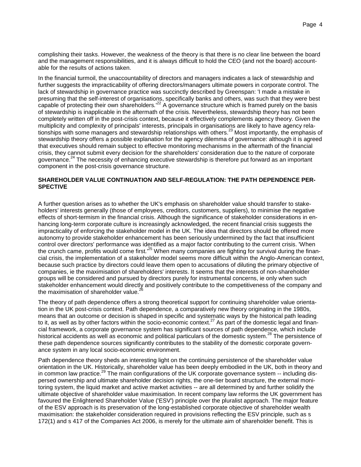complishing their tasks. However, the weakness of the theory is that there is no clear line between the board and the management responsibilities, and it is always difficult to hold the CEO (and not the board) accountable for the results of actions taken.

In the financial turmoil, the unaccountability of directors and managers indicates a lack of stewardship and further suggests the impracticability of offering directors/managers ultimate powers in corporate control. The lack of stewardship in governance practice was succinctly described by Greenspan: 'I made a mistake in presuming that the self-interest of organisations, specifically banks and others, was such that they were best capable of protecting their own shareholders*.*' <sup>22</sup> A governance structure which is framed purely on the basis of stewardship is inapplicable in the aftermath of the crisis. Nevertheless, stewardship theory has not been completely written off in the post-crisis context, because it effectively complements agency theory. Given the multiplicity and complexity of principals' interests, principals in organisations are likely to have agency relationships with some managers and stewardship relationships with others.<sup>23</sup> Most importantly, the emphasis of stewardship theory offers a possible explanation for the agency dilemma of governance: although it is agreed that executives should remain subject to effective monitoring mechanisms in the aftermath of the financial crisis, they cannot submit every decision for the shareholders' consideration due to the nature of corporate governance.<sup>24</sup> The necessity of enhancing executive stewardship is therefore put forward as an important component in the post-crisis governance structure.

#### **SHAREHOLDER VALUE CONTINUATION AND SELF-REGULATION: THE PATH DEPENDENCE PER-SPECTIVE**

A further question arises as to whether the UK's emphasis on shareholder value should transfer to stakeholders' interests generally (those of employees, creditors, customers, suppliers), to minimise the negative effects of short-termism in the financial crisis. Although the significance of stakeholder considerations in enhancing long-term corporate culture is increasingly acknowledged, the recent financial crisis suggests the impracticality of enforcing the stakeholder model in the UK. The idea that directors should be offered more autonomy to provide stakeholder enhancement has been seriously undermined by the fact that insufficient control over directors' performance was identified as a major factor contributing to the current crisis. 'When the crunch came, profits would come first*.*' <sup>25</sup> When many companies are fighting for survival during the financial crisis, the implementation of a stakeholder model seems more difficult within the Anglo-American context, because such practice by directors could leave them open to accusations of diluting the primary objective of companies, ie the maximisation of shareholders' interests. It seems that the interests of non-shareholder groups will be considered and pursued by directors purely for instrumental concerns, ie only when such stakeholder enhancement would directly and positively contribute to the competitiveness of the company and the maximisation of shareholder value.<sup>2</sup>

The theory of path dependence offers a strong theoretical support for continuing shareholder value orientation in the UK post-crisis context. Path dependence, a comparatively new theory originating in the 1980s, means that an outcome or decision is shaped in specific and systematic ways by the historical path leading to it, as well as by other factors within the socio-economic context.<sup>27</sup> As part of the domestic legal and financial framework, a corporate governance system has significant sources of path dependence, which include historical accidents as well as economic and political particulars of the domestic system.<sup>28</sup> The persistence of these path dependence sources significantly contributes to the stability of the domestic corporate governance system in any local socio-economic environment.

Path dependence theory sheds an interesting light on the continuing persistence of the shareholder value orientation in the UK. Historically, shareholder value has been deeply embodied in the UK, both in theory and in common law practice.<sup>29</sup> The main configurations of the UK corporate governance system -- including dispersed ownership and ultimate shareholder decision rights, the one-tier board structure, the external monitoring system, the liquid market and active market activities -- are all determined by and further solidify the ultimate objective of shareholder value maximisation. In recent company law reforms the UK government has favoured the Enlightened Shareholder Value ('ESV') principle over the pluralist approach. The major feature of the ESV approach is its preservation of the long-established corporate objective of shareholder wealth maximisation: the stakeholder consideration required in provisions reflecting the ESV principle, such as s 172(1) and s 417 of the Companies Act 2006, is merely for the ultimate aim of shareholder benefit. This is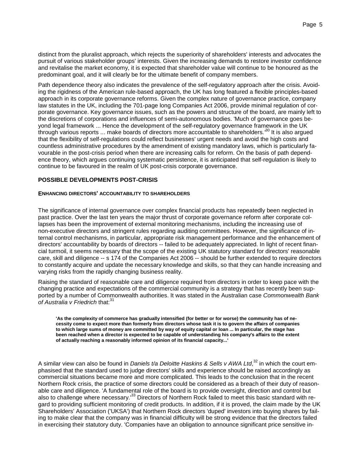distinct from the pluralist approach, which rejects the superiority of shareholders' interests and advocates the pursuit of various stakeholder groups' interests. Given the increasing demands to restore investor confidence and revitalise the market economy, it is expected that shareholder value will continue to be honoured as the predominant goal, and it will clearly be for the ultimate benefit of company members.

Path dependence theory also indicates the prevalence of the self-regulatory approach after the crisis. Avoiding the rigidness of the American rule-based approach, the UK has long featured a flexible principles-based approach in its corporate governance reforms. Given the complex nature of governance practice, company law statutes in the UK, including the 701-page long Companies Act 2006, provide minimal regulation of corporate governance. Key governance issues, such as the powers and structure of the board, are mainly left to the discretions of corporations and influences of semi-autonomous bodies. 'Much of governance goes beyond legal framework ... Hence the development of the self-regulatory governance framework in the UK through various reports ... make boards of directors more accountable to shareholders*.'*<sup>30</sup> It is also argued that the flexibility of self-regulations could reflect businesses' urgent needs and avoid the high costs and countless administrative procedures by the amendment of existing mandatory laws, which is particularly favourable in the post-crisis period when there are increasing calls for reform. On the basis of path dependence theory, which argues continuing systematic persistence, it is anticipated that self-regulation is likely to continue to be favoured in the realm of UK post-crisis corporate governance.

#### **POSSIBLE DEVELOPMENTS POST-CRISIS**

#### **ENHANCING DIRECTORS' ACCOUNTABILITY TO SHAREHOLDERS**

The significance of internal governance over complex financial products has repeatedly been neglected in past practice. Over the last ten years the major thrust of corporate governance reform after corporate collapses has been the improvement of external monitoring mechanisms, including the increasing use of non-executive directors and stringent rules regarding auditing committees. However, the significance of internal control mechanisms, in particular, appropriate risk management performance and the enhancement of directors' accountability by boards of directors -- failed to be adequately appreciated. In light of recent financial turmoil, it seems necessary that the scope of the existing UK statutory standard for directors' reasonable care, skill and diligence -- s 174 of the Companies Act 2006 -- should be further extended to require directors to constantly acquire and update the necessary knowledge and skills, so that they can handle increasing and varying risks from the rapidly changing business reality.

Raising the standard of reasonable care and diligence required from directors in order to keep pace with the changing practice and expectations of the commercial community is a strategy that has recently been supported by a number of Commonwealth authorities. It was stated in the Australian case *Commonwealth Bank*  of Australia v Friedrich that:<sup>31</sup>

**'As the complexity of commerce has gradually intensified (for better or for worse) the community has of necessity come to expect more than formerly from directors whose task it is to govern the affairs of companies to which large sums of money are committed by way of equity capital or loan ... In particular, the stage has been reached when a director is expected to be capable of understanding his company's affairs to the extent of actually reaching a reasonably informed opinion of its financial capacity...'**

A similar view can also be found in *Daniels t/a Deloitte Haskins & Sells v AWA Ltd*, <sup>32</sup> in which the court emphasised that the standard used to judge directors' skills and experience should be raised accordingly as commercial situations became more and more complicated. This leads to the conclusion that in the recent Northern Rock crisis, the practice of some directors could be considered as a breach of their duty of reasonable care and diligence. 'A fundamental role of the board is to provide oversight, direction and control but also to challenge where necessary.<sup>133</sup> Directors of Northern Rock failed to meet this basic standard with regard to providing sufficient monitoring of credit products. In addition, if it is proved, the claim made by the UK Shareholders' Association ('UKSA') that Northern Rock directors 'duped' investors into buying shares by failing to make clear that the company was in financial difficulty will be strong evidence that the directors failed in exercising their statutory duty. 'Companies have an obligation to announce significant price sensitive in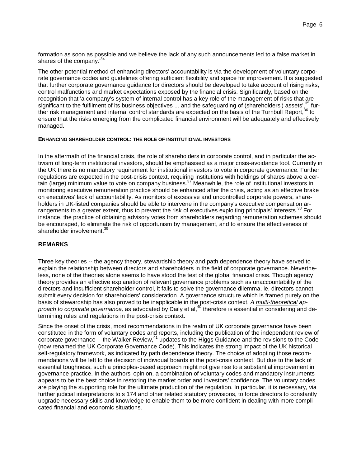formation as soon as possible and we believe the lack of any such announcements led to a false market in shares of the company*.*' 34

The other potential method of enhancing directors' accountability is via the development of voluntary corporate governance codes and guidelines offering sufficient flexibility and space for improvement. It is suggested that further corporate governance guidance for directors should be developed to take account of rising risks, control malfunctions and market expectations exposed by the financial crisis. Significantly, based on the recognition that 'a company's system of internal control has a key role of the management of risks that are significant to the fulfilment of its business objectives  $\ldots$  and the safeguarding of (shareholders') assets',  $35$  further risk management and internal control standards are expected on the basis of the Turnbull Report,<sup>36</sup> to ensure that the risks emerging from the complicated financial environment will be adequately and effectively managed.

#### **ENHANCING SHAREHOLDER CONTROL: THE ROLE OF INSTITUTIONAL INVESTORS**

In the aftermath of the financial crisis, the role of shareholders in corporate control, and in particular the activism of long-term institutional investors, should be emphasised as a major crisis-avoidance tool. Currently in the UK there is no mandatory requirement for institutional investors to vote in corporate governance. Further regulations are expected in the post-crisis context, requiring institutions with holdings of shares above a certain (large) minimum value to vote on company business.<sup>37</sup> Meanwhile, the role of institutional investors in monitoring executive remuneration practice should be enhanced after the crisis, acting as an effective brake on executives' lack of accountability. As monitors of excessive and uncontrolled corporate powers, shareholders in UK-listed companies should be able to intervene in the company's executive compensation arrangements to a greater extent, thus to prevent the risk of executives exploiting principals' interests.<sup>38</sup> For instance, the practice of obtaining advisory votes from shareholders regarding remuneration schemes should be encouraged, to eliminate the risk of opportunism by management, and to ensure the effectiveness of shareholder involvement.<sup>3</sup>

#### **REMARKS**

Three key theories -- the agency theory, stewardship theory and path dependence theory have served to explain the relationship between directors and shareholders in the field of corporate governance. Nevertheless, none of the theories alone seems to have stood the test of the global financial crisis. Though agency theory provides an effective explanation of relevant governance problems such as unaccountability of the directors and insufficient shareholder control, it fails to solve the governance dilemma, ie, directors cannot submit every decision for shareholders' consideration. A governance structure which is framed purely on the basis of stewardship has also proved to be inapplicable in the post-crisis context. *A multi-theoretical ap*proach to corporate governance, as advocated by Daily et al,<sup>40</sup> therefore is essential in considering and determining rules and regulations in the post-crisis context.

Since the onset of the crisis, most recommendations in the realm of UK corporate governance have been constituted in the form of voluntary codes and reports, including the publication of the independent review of corporate governance -- the Walker Review,<sup>41</sup> updates to the Higgs Guidance and the revisions to the Code (now renamed the UK Corporate Governance Code). This indicates the strong impact of the UK historical self-regulatory framework, as indicated by path dependence theory. The choice of adopting those recommendations will be left to the decision of individual boards in the post-crisis context. But due to the lack of essential toughness, such a principles-based approach might not give rise to a substantial improvement in governance practice. In the authors' opinion, a combination of voluntary codes and mandatory instruments appears to be the best choice in restoring the market order and investors' confidence. The voluntary codes are playing the supporting role for the ultimate production of the regulation. In particular, it is necessary, via further judicial interpretations to s 174 and other related statutory provisions, to force directors to constantly upgrade necessary skills and knowledge to enable them to be more confident in dealing with more complicated financial and economic situations.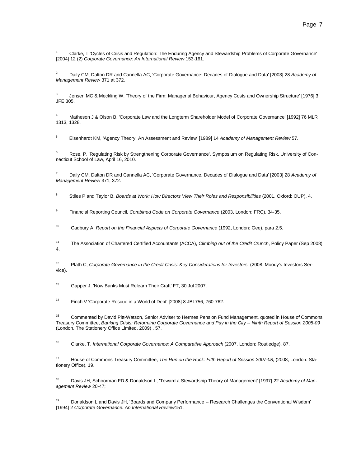1 Clarke, T 'Cycles of Crisis and Regulation: The Enduring Agency and Stewardship Problems of Corporate Governance' [2004] 12 (2) *Corporate Governance: An International Review* 153-161.

2 Daily CM, Dalton DR and Cannella AC, 'Corporate Governance: Decades of Dialogue and Data' [2003] 28 *Academy of Management Review* 371 at 372.

3 Jensen MC & Meckling W, 'Theory of the Firm: Managerial Behaviour, Agency Costs and Ownership Structure' [1976] 3 JFE 305.

4 Matheson J & Olson B, 'Corporate Law and the Longterm Shareholder Model of Corporate Governance' [1992] 76 MLR 1313, 1328.

5 Eisenhardt KM, 'Agency Theory: An Assessment and Review' [1989] 14 *Academy of Management Review* 57.

6 Rose, P, 'Regulating Risk by Strengthening Corporate Governance', Symposium on Regulating Risk, University of Connecticut School of Law, April 16, 2010.

7 Daily CM, Dalton DR and Cannella AC, 'Corporate Governance, Decades of Dialogue and Data' [2003] 28 *Academy of Management Review* 371, 372.

8 Stiles P and Taylor B, *Boards at Work: How Directors View Their Roles and Responsibilities* (2001, Oxford: OUP), 4.

9 Financial Reporting Council, *Combined Code on Corporate Governance* (2003, London: FRC), 34-35.

10 Cadbury A, *Report on the Financial Aspects of Corporate Governance* (1992, London: Gee), para 2.5.

11 The Association of Chartered Certified Accountants (ACCA), *Climbing out of the Credit Crunch*, Policy Paper (Sep 2008), 4.

12 Plath C, *Corporate Governance in the Credit Crisis: Key Considerations for Investors.* (2008, Moody's Investors Service).

13 Gapper J, 'Now Banks Must Relearn Their Craft' FT, 30 Jul 2007.

14 Finch V 'Corporate Rescue in a World of Debt' [2008] 8 JBL756, 760-762.

<sup>15</sup> Commented by David Pitt-Watson, Senior Adviser to Hermes Pension Fund Management, quoted in House of Commons Treasury Committee, *Banking Crisis: Reforming Corporate Governance and Pay in the City -- Ninth Report of Session 2008-09*  (London, The Stationery Office Limited, 2009) , 57.

16 Clarke, T, *International Corporate Governance: A Comparative Approach* (2007, London: Routledge), 87.

17 House of Commons Treasury Committee, *The Run on the Rock: Fifth Report of Session 2007-08,* (2008, London: Stationery Office), 19.

18 Davis JH, Schoorman FD & Donaldson L, 'Toward a Stewardship Theory of Management' [1997] 22 *Academy of Management Review* 20-47;

<sup>19</sup> Donaldson L and Davis JH, 'Boards and Company Performance -- Research Challenges the Conventional Wisdom' [1994] 2 *Corporate Governance: An International Review*151.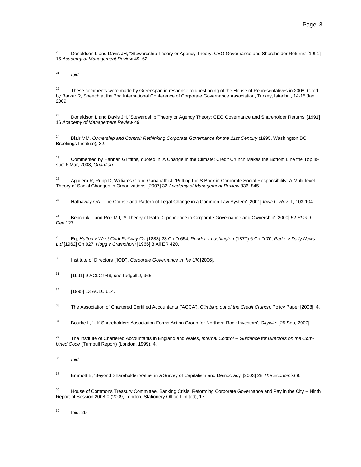<sup>20</sup> Donaldson L and Davis JH, "Stewardship Theory or Agency Theory: CEO Governance and Shareholder Returns' [1991] 16 *Academy of Management Review* 49, 62.

21 *Ibid.*

 $22$  These comments were made by Greenspan in response to questioning of the House of Representatives in 2008. Cited by Barker R, Speech at the 2nd International Conference of Corporate Governance Association, Turkey, Istanbul, 14-15 Jan, 2009.

<sup>23</sup> Donaldson L and Davis JH, 'Stewardship Theory or Agency Theory: CEO Governance and Shareholder Returns' [1991] 16 *Academy of Management Review* 49.

<sup>24</sup> Blair MM, *Ownership and Control: Rethinking Corporate Governance for the 21st Century* (1995, Washington DC: Brookings Institute), 32.

<sup>25</sup> Commented by Hannah Griffiths, quoted in 'A Change in the Climate: Credit Crunch Makes the Bottom Line the Top Issue' 6 Mar, 2008, *Guardian*.

<sup>26</sup> Aguilera R, Rupp D, Williams C and Ganapathi J, 'Putting the S Back in Corporate Social Responsibility: A Multi-level Theory of Social Changes in Organizations' [2007] 32 *Academy of Management Review* 836, 845.

27 Hathaway OA, 'The Course and Pattern of Legal Change in a Common Law System' [2001] *Iowa L. Rev.* 1, 103-104.

28 Bebchuk L and Roe MJ, 'A Theory of Path Dependence in Corporate Governance and Ownership' [2000] 52 *Stan. L. Rev* 127.

29 Eg, *Hutton v West Cork Railway Co* (1883) 23 Ch D 654; *Pender v Lushington* (1877) 6 Ch D 70; *Parke v Daily News Ltd* [1962] Ch 927; *Hogg v Cramphorn* [1966] 3 All ER 420.

30 Institute of Directors ('IOD'), *Corporate Governance in the UK* [2006].

31 [1991] 9 ACLC 946, *per* Tadgell J, 965.

 $32$  [1995] 13 ACLC 614.

33 The Association of Chartered Certified Accountants ('ACCA'), *Climbing out of the Credit Crunch*, Policy Paper [2008], 4.

34 Bourke L, 'UK Shareholders Association Forms Action Group for Northern Rock Investors', *Citywire* [25 Sep, 2007].

35 The Institute of Chartered Accountants in England and Wales, *Internal Control -- Guidance for Directors on the Combined Code* (Turnbull Report) (London, 1999), 4.

36 *Ibid.*

37 Emmott B, 'Beyond Shareholder Value, in a Survey of Capitalism and Democracy' [2003] 28 *The Economist* 9.

<sup>38</sup> House of Commons Treasury Committee, Banking Crisis: Reforming Corporate Governance and Pay in the City -- Ninth Report of Session 2008-0 (2009, London, Stationery Office Limited), 17.

39 Ibid, 29.